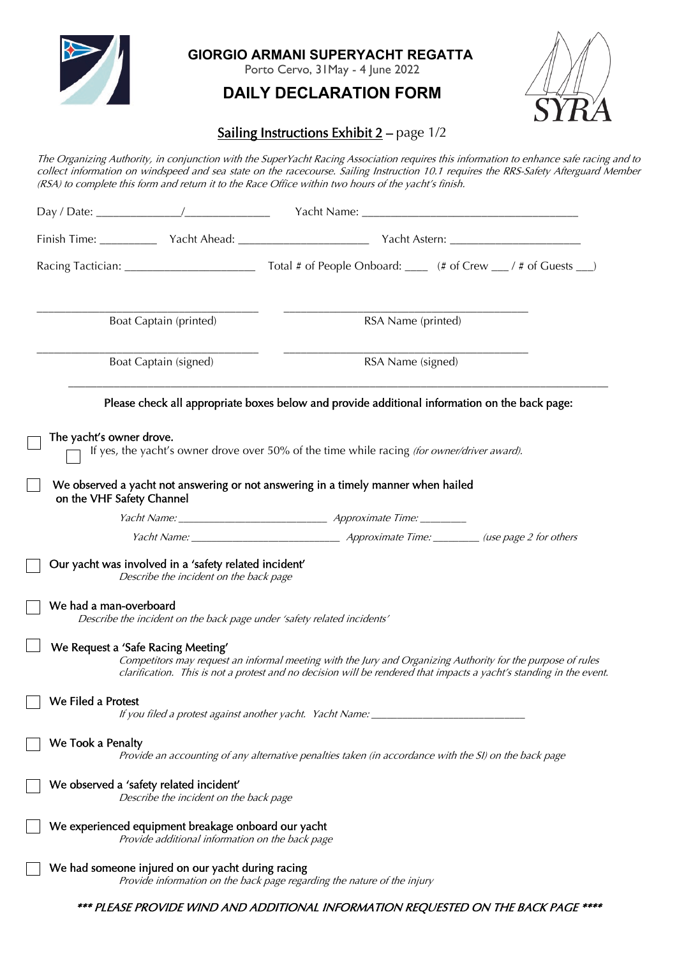

**GIORGIO ARMANI SUPERYACHT REGATTA** 

Porto Cervo, 31May - 4 June 2022

# **DAILY DECLARATION FORM**



# Sailing Instructions Exhibit 2 - page 1/2

The Organizing Authority, in conjunction with the SuperYacht Racing Association requires this information to enhance safe racing and to collect information on windspeed and sea state on the racecourse. Sailing Instruction 10.1 requires the RRS-Safety Afterguard Member (RSA) to complete this form and return it to the Race Office within two hours of the yacht's finish.

|                                                       | Boat Captain (printed)                                                                                 | RSA Name (printed)                                                                                                                                                                                                                 |  |
|-------------------------------------------------------|--------------------------------------------------------------------------------------------------------|------------------------------------------------------------------------------------------------------------------------------------------------------------------------------------------------------------------------------------|--|
| Boat Captain (signed)                                 |                                                                                                        | RSA Name (signed)                                                                                                                                                                                                                  |  |
|                                                       |                                                                                                        | Please check all appropriate boxes below and provide additional information on the back page:                                                                                                                                      |  |
| The yacht's owner drove.<br>on the VHF Safety Channel |                                                                                                        | If yes, the yacht's owner drove over 50% of the time while racing (for owner/driver award).<br>We observed a yacht not answering or not answering in a timely manner when hailed                                                   |  |
|                                                       |                                                                                                        |                                                                                                                                                                                                                                    |  |
|                                                       |                                                                                                        |                                                                                                                                                                                                                                    |  |
|                                                       | Our yacht was involved in a 'safety related incident'<br>Describe the incident on the back page        |                                                                                                                                                                                                                                    |  |
| We had a man-overboard                                |                                                                                                        | Describe the incident on the back page under 'safety related incidents'                                                                                                                                                            |  |
|                                                       | We Request a 'Safe Racing Meeting'                                                                     | Competitors may request an informal meeting with the Jury and Organizing Authority for the purpose of rules<br>clarification. This is not a protest and no decision will be rendered that impacts a yacht's standing in the event. |  |
| We Filed a Protest                                    |                                                                                                        | If you filed a protest against another yacht. Yacht Name: ______________                                                                                                                                                           |  |
| We Took a Penalty                                     |                                                                                                        | Provide an accounting of any alternative penalties taken (in accordance with the SI) on the back page                                                                                                                              |  |
|                                                       | We observed a 'safety related incident'<br>Describe the incident on the back page                      |                                                                                                                                                                                                                                    |  |
|                                                       | We experienced equipment breakage onboard our yacht<br>Provide additional information on the back page |                                                                                                                                                                                                                                    |  |
|                                                       | We had someone injured on our yacht during racing                                                      | Provide information on the back page regarding the nature of the injury                                                                                                                                                            |  |
|                                                       |                                                                                                        | *** PLEASE PROVIDE WIND AND ADDITIONAL INFORMATION REQUESTED ON THE BACK PAGE ****                                                                                                                                                 |  |